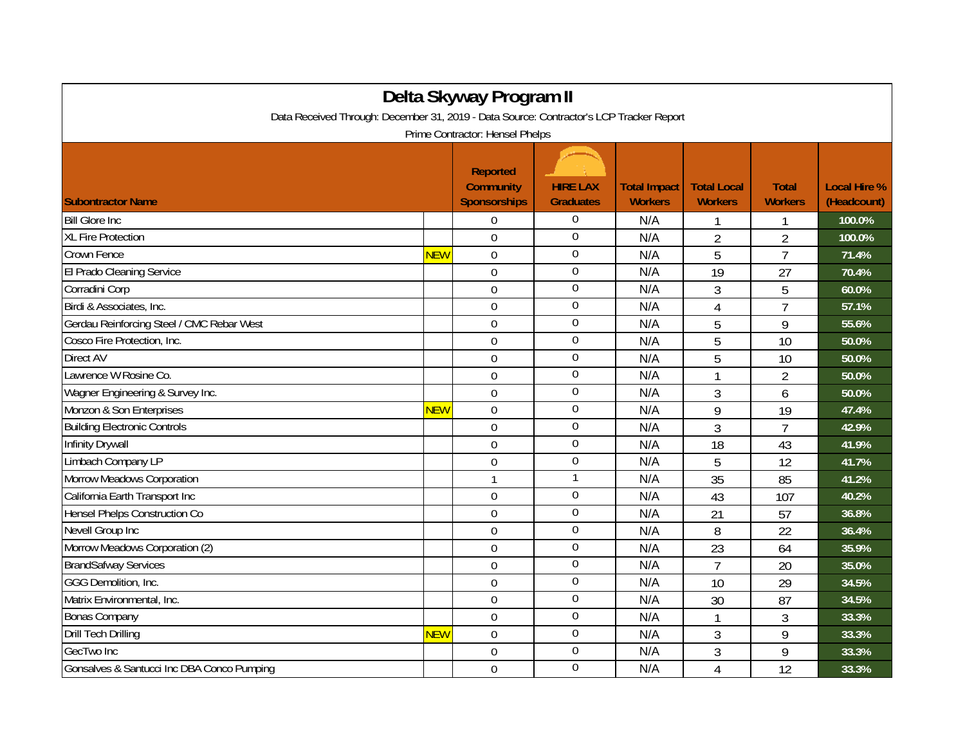| Delta Skyway Program II                                                                                                    |            |                                                     |                                     |                                       |                                      |                                |                                    |  |  |
|----------------------------------------------------------------------------------------------------------------------------|------------|-----------------------------------------------------|-------------------------------------|---------------------------------------|--------------------------------------|--------------------------------|------------------------------------|--|--|
| Data Received Through: December 31, 2019 - Data Source: Contractor's LCP Tracker Report<br>Prime Contractor: Hensel Phelps |            |                                                     |                                     |                                       |                                      |                                |                                    |  |  |
| <b>Subontractor Name</b>                                                                                                   |            | Reported<br><b>Community</b><br><b>Sponsorships</b> | <b>HIRE LAX</b><br><b>Graduates</b> | <b>Total Impact</b><br><b>Workers</b> | <b>Total Local</b><br><b>Workers</b> | <b>Total</b><br><b>Workers</b> | <b>Local Hire %</b><br>(Headcount) |  |  |
| <b>Bill Glore Inc.</b>                                                                                                     |            | $\boldsymbol{0}$                                    | $\overline{0}$                      | N/A                                   |                                      |                                | 100.0%                             |  |  |
| <b>XL Fire Protection</b>                                                                                                  |            | $\mathbf 0$                                         | $\boldsymbol{0}$                    | N/A                                   | $\overline{2}$                       | $\overline{2}$                 | 100.0%                             |  |  |
| Crown Fence                                                                                                                | <b>NEW</b> | $\overline{0}$                                      | $\overline{0}$                      | N/A                                   | 5                                    | $\overline{7}$                 | 71.4%                              |  |  |
| El Prado Cleaning Service                                                                                                  |            | $\mathbf 0$                                         | $\overline{0}$                      | N/A                                   | 19                                   | 27                             | 70.4%                              |  |  |
| Corradini Corp                                                                                                             |            | $\overline{0}$                                      | $\mathbf 0$                         | N/A                                   | 3                                    | 5                              | 60.0%                              |  |  |
| Birdi & Associates, Inc.                                                                                                   |            | $\Omega$                                            | $\mathbf 0$                         | N/A                                   | 4                                    | $\overline{7}$                 | 57.1%                              |  |  |
| Gerdau Reinforcing Steel / CMC Rebar West                                                                                  |            | $\mathbf 0$                                         | $\overline{0}$                      | N/A                                   | 5                                    | 9                              | 55.6%                              |  |  |
| Cosco Fire Protection, Inc.                                                                                                |            | $\mathbf 0$                                         | $\overline{0}$                      | N/A                                   | 5                                    | 10                             | 50.0%                              |  |  |
| <b>Direct AV</b>                                                                                                           |            | $\mathbf 0$                                         | $\boldsymbol{0}$                    | N/A                                   | 5                                    | 10                             | 50.0%                              |  |  |
| Lawrence W Rosine Co.                                                                                                      |            | $\mathbf 0$                                         | $\boldsymbol{0}$                    | N/A                                   | 1                                    | $\overline{2}$                 | 50.0%                              |  |  |
| Wagner Engineering & Survey Inc.                                                                                           |            | $\overline{0}$                                      | $\mathbf 0$                         | N/A                                   | 3                                    | 6                              | 50.0%                              |  |  |
| Monzon & Son Enterprises                                                                                                   | <b>NEW</b> | $\Omega$                                            | $\overline{0}$                      | N/A                                   | 9                                    | 19                             | 47.4%                              |  |  |
| <b>Building Electronic Controls</b>                                                                                        |            | $\mathbf 0$                                         | $\overline{0}$                      | N/A                                   | 3                                    | $\overline{7}$                 | 42.9%                              |  |  |
| Infinity Drywall                                                                                                           |            | $\mathbf 0$                                         | $\boldsymbol{0}$                    | N/A                                   | 18                                   | 43                             | 41.9%                              |  |  |
| Limbach Company LP                                                                                                         |            | $\mathbf 0$                                         | $\boldsymbol{0}$                    | N/A                                   | 5                                    | 12                             | 41.7%                              |  |  |
| Morrow Meadows Corporation                                                                                                 |            | $\mathbf{1}$                                        | 1                                   | N/A                                   | 35                                   | 85                             | 41.2%                              |  |  |
| California Earth Transport Inc                                                                                             |            | $\overline{0}$                                      | $\overline{0}$                      | N/A                                   | 43                                   | 107                            | 40.2%                              |  |  |
| Hensel Phelps Construction Co                                                                                              |            | $\Omega$                                            | $\boldsymbol{0}$                    | N/A                                   | 21                                   | 57                             | 36.8%                              |  |  |
| Nevell Group Inc                                                                                                           |            | $\mathbf 0$                                         | $\boldsymbol{0}$                    | N/A                                   | 8                                    | 22                             | 36.4%                              |  |  |
| Morrow Meadows Corporation (2)                                                                                             |            | $\mathbf 0$                                         | $\overline{0}$                      | N/A                                   | 23                                   | 64                             | 35.9%                              |  |  |
| <b>BrandSafway Services</b>                                                                                                |            | $\mathbf 0$                                         | $\boldsymbol{0}$                    | N/A                                   | $\overline{7}$                       | 20                             | 35.0%                              |  |  |
| GGG Demolition, Inc.                                                                                                       |            | $\mathbf 0$                                         | $\boldsymbol{0}$                    | N/A                                   | 10                                   | 29                             | 34.5%                              |  |  |
| Matrix Environmental, Inc.                                                                                                 |            | $\Omega$                                            | $\overline{0}$                      | N/A                                   | 30                                   | 87                             | 34.5%                              |  |  |
| <b>Bonas Company</b>                                                                                                       |            | $\mathbf 0$                                         | $\overline{0}$                      | N/A                                   | $\mathbf{1}$                         | 3                              | 33.3%                              |  |  |
| <b>Drill Tech Drilling</b>                                                                                                 | <b>NEW</b> | $\mathbf 0$                                         | $\boldsymbol{0}$                    | N/A                                   | 3                                    | 9                              | 33.3%                              |  |  |
| GecTwo Inc                                                                                                                 |            | $\mathbf 0$                                         | $\boldsymbol{0}$                    | N/A                                   | 3                                    | 9                              | 33.3%                              |  |  |
| Gonsalves & Santucci Inc DBA Conco Pumping                                                                                 |            | $\overline{0}$                                      | $\boldsymbol{0}$                    | N/A                                   | 4                                    | 12                             | 33.3%                              |  |  |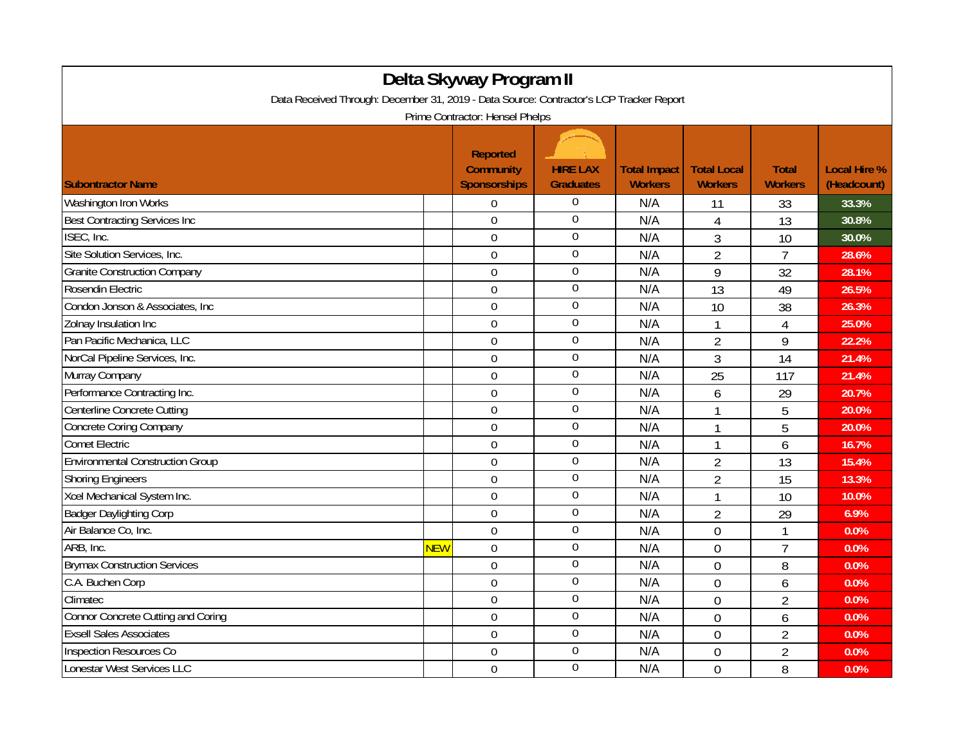| Delta Skyway Program II                                                                 |            |                                                            |                                     |                                       |                                      |                                |                                    |  |  |
|-----------------------------------------------------------------------------------------|------------|------------------------------------------------------------|-------------------------------------|---------------------------------------|--------------------------------------|--------------------------------|------------------------------------|--|--|
| Data Received Through: December 31, 2019 - Data Source: Contractor's LCP Tracker Report |            |                                                            |                                     |                                       |                                      |                                |                                    |  |  |
| Prime Contractor: Hensel Phelps                                                         |            |                                                            |                                     |                                       |                                      |                                |                                    |  |  |
| <b>Subontractor Name</b>                                                                |            | <b>Reported</b><br><b>Community</b><br><b>Sponsorships</b> | <b>HIRE LAX</b><br><b>Graduates</b> | <b>Total Impact</b><br><b>Workers</b> | <b>Total Local</b><br><b>Workers</b> | <b>Total</b><br><b>Workers</b> | <b>Local Hire %</b><br>(Headcount) |  |  |
| Washington Iron Works                                                                   |            | $\Omega$                                                   | $\Omega$                            | N/A                                   | 11                                   | 33                             | 33.3%                              |  |  |
| <b>Best Contracting Services Inc</b>                                                    |            | $\Omega$                                                   | $\boldsymbol{0}$                    | N/A                                   | 4                                    | 13                             | 30.8%                              |  |  |
| ISEC, Inc.                                                                              |            | $\overline{0}$                                             | $\boldsymbol{0}$                    | N/A                                   | 3                                    | 10                             | 30.0%                              |  |  |
| Site Solution Services, Inc.                                                            |            | $\mathbf 0$                                                | $\boldsymbol{0}$                    | N/A                                   | $\overline{2}$                       | $\overline{7}$                 | 28.6%                              |  |  |
| <b>Granite Construction Company</b>                                                     |            | $\overline{0}$                                             | $\overline{0}$                      | N/A                                   | 9                                    | 32                             | 28.1%                              |  |  |
| Rosendin Electric                                                                       |            | $\mathbf 0$                                                | $\mathbf 0$                         | N/A                                   | 13                                   | 49                             | 26.5%                              |  |  |
| Condon Jonson & Associates, Inc.                                                        |            | $\overline{0}$                                             | $\overline{0}$                      | N/A                                   | 10                                   | 38                             | 26.3%                              |  |  |
| Zolnay Insulation Inc                                                                   |            | $\overline{0}$                                             | $\boldsymbol{0}$                    | N/A                                   | $\mathbf{1}$                         | $\overline{4}$                 | 25.0%                              |  |  |
| Pan Pacific Mechanica, LLC                                                              |            | $\overline{0}$                                             | $\overline{0}$                      | N/A                                   | $\overline{2}$                       | 9                              | 22.2%                              |  |  |
| NorCal Pipeline Services, Inc.                                                          |            | $\mathbf 0$                                                | $\overline{0}$                      | N/A                                   | 3                                    | 14                             | 21.4%                              |  |  |
| Murray Company                                                                          |            | $\overline{0}$                                             | $\boldsymbol{0}$                    | N/A                                   | 25                                   | 117                            | 21.4%                              |  |  |
| Performance Contracting Inc.                                                            |            | $\Omega$                                                   | $\boldsymbol{0}$                    | N/A                                   | 6                                    | 29                             | 20.7%                              |  |  |
| Centerline Concrete Cutting                                                             |            | $\overline{0}$                                             | $\boldsymbol{0}$                    | N/A                                   | 1                                    | 5                              | 20.0%                              |  |  |
| Concrete Coring Company                                                                 |            | $\overline{0}$                                             | $\boldsymbol{0}$                    | N/A                                   | 1                                    | 5                              | 20.0%                              |  |  |
| <b>Comet Electric</b>                                                                   |            | $\mathbf 0$                                                | $\mathbf 0$                         | N/A                                   | $\mathbf{1}$                         | 6                              | 16.7%                              |  |  |
| <b>Environmental Construction Group</b>                                                 |            | $\mathbf 0$                                                | $\boldsymbol{0}$                    | N/A                                   | $\overline{2}$                       | 13                             | 15.4%                              |  |  |
| <b>Shoring Engineers</b>                                                                |            | $\mathbf 0$                                                | $\boldsymbol{0}$                    | N/A                                   | $\overline{2}$                       | 15                             | 13.3%                              |  |  |
| Xcel Mechanical System Inc.                                                             |            | $\overline{0}$                                             | $\boldsymbol{0}$                    | N/A                                   | $\mathbf{1}$                         | 10                             | 10.0%                              |  |  |
| <b>Badger Daylighting Corp</b>                                                          |            | $\mathbf 0$                                                | $\boldsymbol{0}$                    | N/A                                   | $\overline{2}$                       | 29                             | 6.9%                               |  |  |
| Air Balance Co, Inc.                                                                    |            | $\overline{0}$                                             | $\boldsymbol{0}$                    | N/A                                   | $\overline{0}$                       | $\mathbf{1}$                   | 0.0%                               |  |  |
| ARB, Inc.                                                                               | <b>NEW</b> | $\overline{0}$                                             | $\overline{0}$                      | N/A                                   | $\overline{0}$                       | $\overline{7}$                 | 0.0%                               |  |  |
| <b>Brymax Construction Services</b>                                                     |            | $\overline{0}$                                             | $\boldsymbol{0}$                    | N/A                                   | $\overline{0}$                       | 8                              | 0.0%                               |  |  |
| C.A. Buchen Corp                                                                        |            | $\overline{0}$                                             | $\boldsymbol{0}$                    | N/A                                   | $\overline{0}$                       | 6                              | 0.0%                               |  |  |
| Climatec                                                                                |            | $\mathbf 0$                                                | $\boldsymbol{0}$                    | N/A                                   | $\overline{0}$                       | $\overline{2}$                 | 0.0%                               |  |  |
| Connor Concrete Cutting and Coring                                                      |            | $\overline{0}$                                             | $\overline{0}$                      | N/A                                   | $\overline{0}$                       | 6                              | 0.0%                               |  |  |
| <b>Exsell Sales Associates</b>                                                          |            | $\mathbf 0$                                                | $\overline{0}$                      | N/A                                   | $\overline{0}$                       | $\overline{2}$                 | 0.0%                               |  |  |
| <b>Inspection Resources Co</b>                                                          |            | $\overline{0}$                                             | $\boldsymbol{0}$                    | N/A                                   | $\theta$                             | $\overline{2}$                 | 0.0%                               |  |  |
| Lonestar West Services LLC                                                              |            | $\mathbf 0$                                                | $\Omega$                            | N/A                                   | $\overline{0}$                       | 8                              | 0.0%                               |  |  |